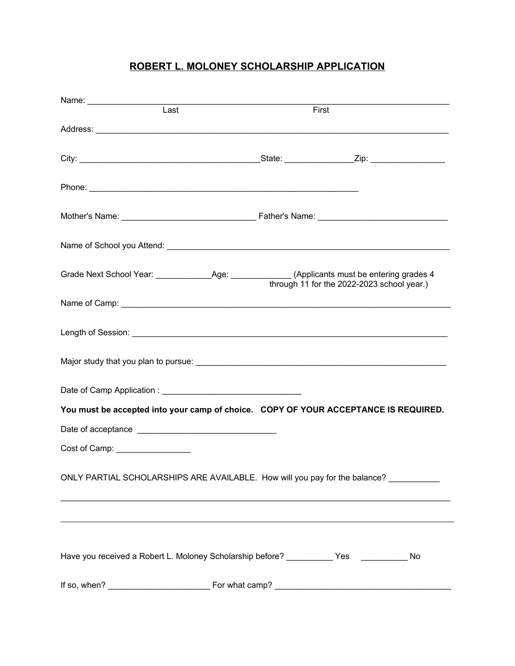## **ROBERT L. MOLONEY SCHOLARSHIP APPLICATION**

| $\overline{Last}$               | First                                                                                  |
|---------------------------------|----------------------------------------------------------------------------------------|
|                                 |                                                                                        |
|                                 |                                                                                        |
|                                 |                                                                                        |
|                                 |                                                                                        |
|                                 |                                                                                        |
|                                 | through 11 for the 2022-2023 school year.)                                             |
|                                 |                                                                                        |
|                                 |                                                                                        |
|                                 |                                                                                        |
|                                 |                                                                                        |
|                                 | You must be accepted into your camp of choice. COPY OF YOUR ACCEPTANCE IS REQUIRED.    |
|                                 |                                                                                        |
| Cost of Camp: _________________ |                                                                                        |
|                                 | ONLY PARTIAL SCHOLARSHIPS ARE AVAILABLE. How will you pay for the balance?             |
|                                 |                                                                                        |
|                                 | Have you received a Robert L. Moloney Scholarship before? __________ Yes __________ No |
|                                 |                                                                                        |